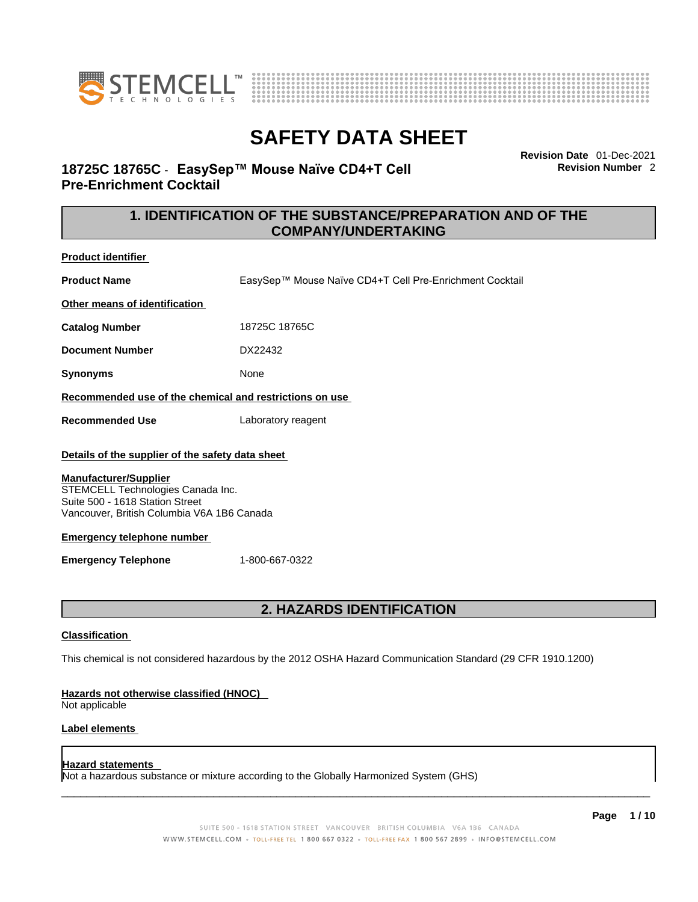



**Revision Date** 01-Dec-2021 **Revision Number** 2

# **18725C 18765C** - **EasySep™ Mouse Naïve CD4+T Cell Pre-Enrichment Cocktail**

# **1. IDENTIFICATION OF THE SUBSTANCE/PREPARATION AND OF THE COMPANY/UNDERTAKING**

**Product identifier**

**Product Name** FasySep™ Mouse Naïve CD4+T Cell Pre-Enrichment Cocktail

**Other means of identification**

**Catalog Number** 18725C 18765C

**Document Number** DX22432

**Synonyms** None

### **Recommended use of the chemical and restrictions on use**

**Recommended Use** Laboratory reagent

### **Details of the supplier of the safety data sheet**

### **Manufacturer/Supplier**

STEMCELL Technologies Canada Inc. Suite 500 - 1618 Station Street Vancouver, British Columbia V6A 1B6 Canada

### **Emergency telephone number**

**Emergency Telephone** 1-800-667-0322

# **2. HAZARDS IDENTIFICATION**

### **Classification**

This chemical is not considered hazardous by the 2012 OSHA Hazard Communication Standard (29 CFR 1910.1200)

### **Hazards not otherwise classified (HNOC)**

Not applicable

### **Label elements**

### **Hazard statements**

Not a hazardous substance or mixture according to the Globally Harmonized System (GHS)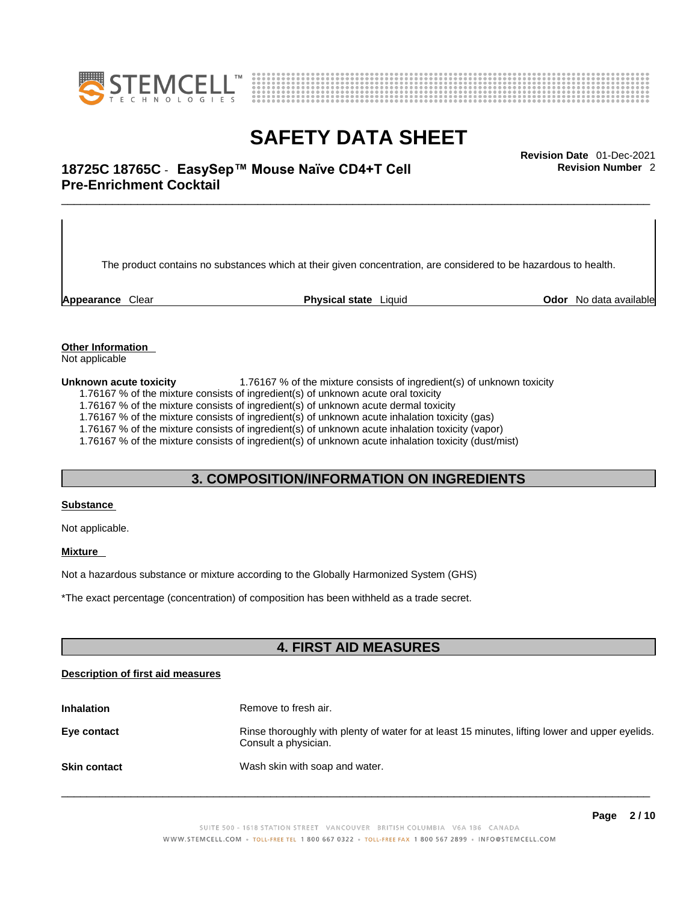



# \_\_\_\_\_\_\_\_\_\_\_\_\_\_\_\_\_\_\_\_\_\_\_\_\_\_\_\_\_\_\_\_\_\_\_\_\_\_\_\_\_\_\_\_\_\_\_\_\_\_\_\_\_\_\_\_\_\_\_\_\_\_\_\_\_\_\_\_\_\_\_\_\_\_\_\_\_\_\_\_\_\_\_\_\_\_\_\_\_\_\_\_\_ **Revision Date** 01-Dec-2021 **18725C 18765C** - **EasySep™ Mouse Naïve CD4+T Cell Pre-Enrichment Cocktail**

The product contains no substances which at their given concentration, are considered to be hazardous to health.

**Appearance** Clear **Physical state** Liquid **Odor** No data available

**Revision Number** 2

**Other Information**  Not applicable

**Unknown acute toxicity** 1.76167 % of the mixture consists of ingredient(s) of unknown toxicity

1.76167 % of the mixture consists of ingredient(s) of unknown acute oral toxicity

1.76167 % of the mixture consists of ingredient(s) of unknown acute dermal toxicity

1.76167 % of the mixture consists of ingredient(s) of unknown acute inhalation toxicity (gas)

1.76167 % of the mixture consists of ingredient(s) of unknown acute inhalation toxicity (vapor)

1.76167 % of the mixture consists of ingredient(s) of unknown acute inhalation toxicity (dust/mist)

## **3. COMPOSITION/INFORMATION ON INGREDIENTS**

#### **Substance**

Not applicable.

### **Mixture**

Not a hazardous substance or mixture according to the Globally Harmonized System (GHS)

\*The exact percentage (concentration) ofcomposition has been withheld as a trade secret.

# **4. FIRST AID MEASURES**

#### **Description of first aid measures**

| <b>Inhalation</b>   | Remove to fresh air.                                                                                                    |
|---------------------|-------------------------------------------------------------------------------------------------------------------------|
| Eye contact         | Rinse thoroughly with plenty of water for at least 15 minutes, lifting lower and upper eyelids.<br>Consult a physician. |
| <b>Skin contact</b> | Wash skin with soap and water.                                                                                          |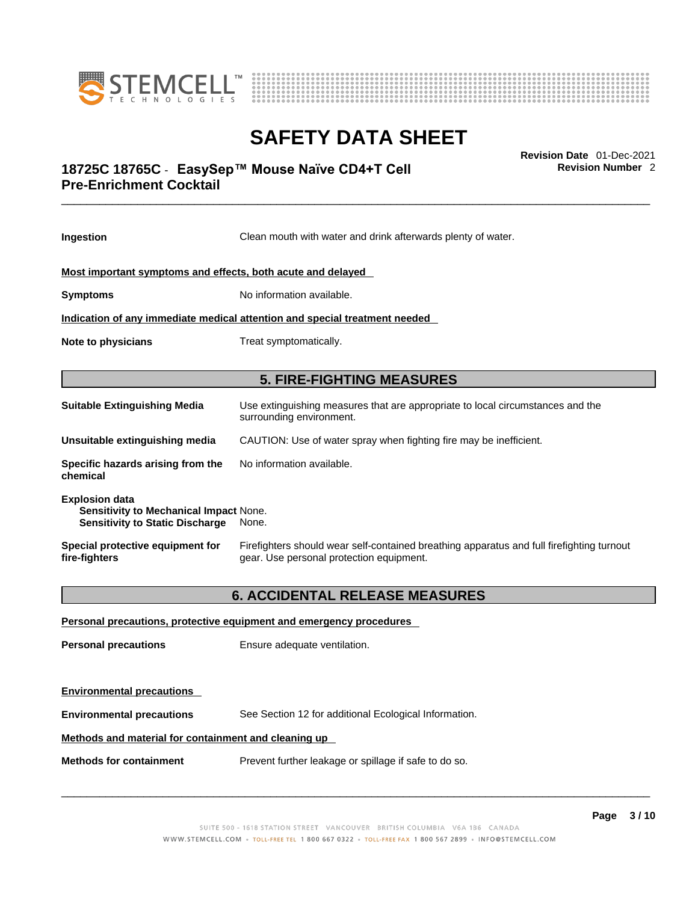



# \_\_\_\_\_\_\_\_\_\_\_\_\_\_\_\_\_\_\_\_\_\_\_\_\_\_\_\_\_\_\_\_\_\_\_\_\_\_\_\_\_\_\_\_\_\_\_\_\_\_\_\_\_\_\_\_\_\_\_\_\_\_\_\_\_\_\_\_\_\_\_\_\_\_\_\_\_\_\_\_\_\_\_\_\_\_\_\_\_\_\_\_\_ **Revision Date** 01-Dec-2021 **18725C 18765C** - **EasySep™ Mouse Naïve CD4+T Cell Pre-Enrichment Cocktail**

**Ingestion** Clean mouth with water and drink afterwards plenty of water. **Most important symptoms and effects, both acute and delayed Symptoms** No information available. **Indication of any immediate medical attention and special treatment needed Note to physicians** Treat symptomatically. **5. FIRE-FIGHTING MEASURES Suitable Extinguishing Media** Use extinguishing measures that are appropriate to local circumstances and the surrounding environment. **Unsuitable extinguishing media** CAUTION: Use of water spray when fighting fire may be inefficient. **Specific hazards arising from the chemical** No information available. **Explosion data Sensitivity to Mechanical Impact** None. **Sensitivity to Static Discharge** None. **Special protective equipment for fire-fighters** Firefighters should wear self-contained breathing apparatus and full firefighting turnout gear. Use personal protection equipment. **6. ACCIDENTAL RELEASE MEASURES Personal precautions, protective equipment and emergency procedures Personal precautions** Ensure adequate ventilation. **Environmental precautions** 

**Environmental precautions** See Section 12 for additional Ecological Information.

### **Methods and material for containment and cleaning up**

**Methods for containment** Prevent further leakage or spillage if safe to do so.

 $\_$  ,  $\_$  ,  $\_$  ,  $\_$  ,  $\_$  ,  $\_$  ,  $\_$  ,  $\_$  ,  $\_$  ,  $\_$  ,  $\_$  ,  $\_$  ,  $\_$  ,  $\_$  ,  $\_$  ,  $\_$  ,  $\_$  ,  $\_$  ,  $\_$  ,  $\_$  ,  $\_$  ,  $\_$  ,  $\_$  ,  $\_$  ,  $\_$  ,  $\_$  ,  $\_$  ,  $\_$  ,  $\_$  ,  $\_$  ,  $\_$  ,  $\_$  ,  $\_$  ,  $\_$  ,  $\_$  ,  $\_$  ,  $\_$  ,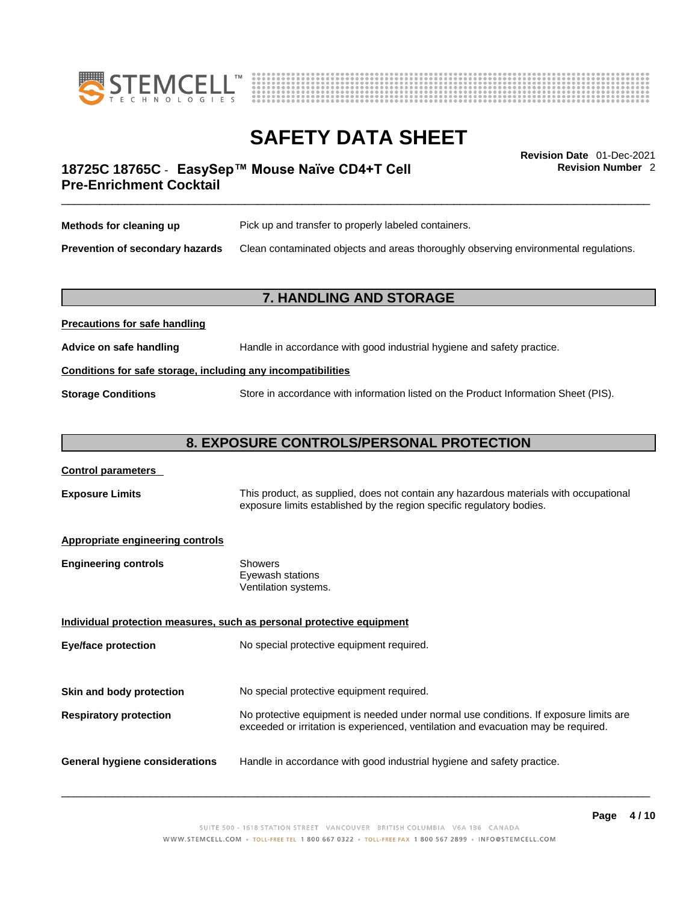



**Revision Number** 2

# \_\_\_\_\_\_\_\_\_\_\_\_\_\_\_\_\_\_\_\_\_\_\_\_\_\_\_\_\_\_\_\_\_\_\_\_\_\_\_\_\_\_\_\_\_\_\_\_\_\_\_\_\_\_\_\_\_\_\_\_\_\_\_\_\_\_\_\_\_\_\_\_\_\_\_\_\_\_\_\_\_\_\_\_\_\_\_\_\_\_\_\_\_ **Revision Date** 01-Dec-2021 **18725C 18765C** - **EasySep™ Mouse Naïve CD4+T Cell Pre-Enrichment Cocktail**

| Methods for cleaning up         | Pick up and transfer to properly labeled containers.                                 |
|---------------------------------|--------------------------------------------------------------------------------------|
| Prevention of secondary hazards | Clean contaminated objects and areas thoroughly observing environmental regulations. |

# **7. HANDLING AND STORAGE**

# **Precautions for safe handling Advice on safe handling** Handle in accordance with good industrial hygiene and safety practice. **Conditions for safe storage, including any incompatibilities Storage Conditions** Store in accordance with information listed on the Product Information Sheet (PIS).

# **8. EXPOSURE CONTROLS/PERSONAL PROTECTION**

### **Control parameters**

**Exposure Limits** This product, as supplied, does not contain any hazardous materials with occupational exposure limits established by the region specific regulatory bodies.

### **Appropriate engineering controls**

| Showers              |
|----------------------|
| Eyewash stations     |
| Ventilation systems. |
|                      |

**Individual protection measures, such as personal protective equipment Eye/face protection** No special protective equipment required. **Skin and body protection** No special protective equipment required. **Respiratory protection** No protective equipment is needed under normal use conditions. If exposure limits are exceeded or irritation is experienced, ventilation and evacuation may be required. **General hygiene considerations** Handle in accordance with good industrial hygiene and safety practice.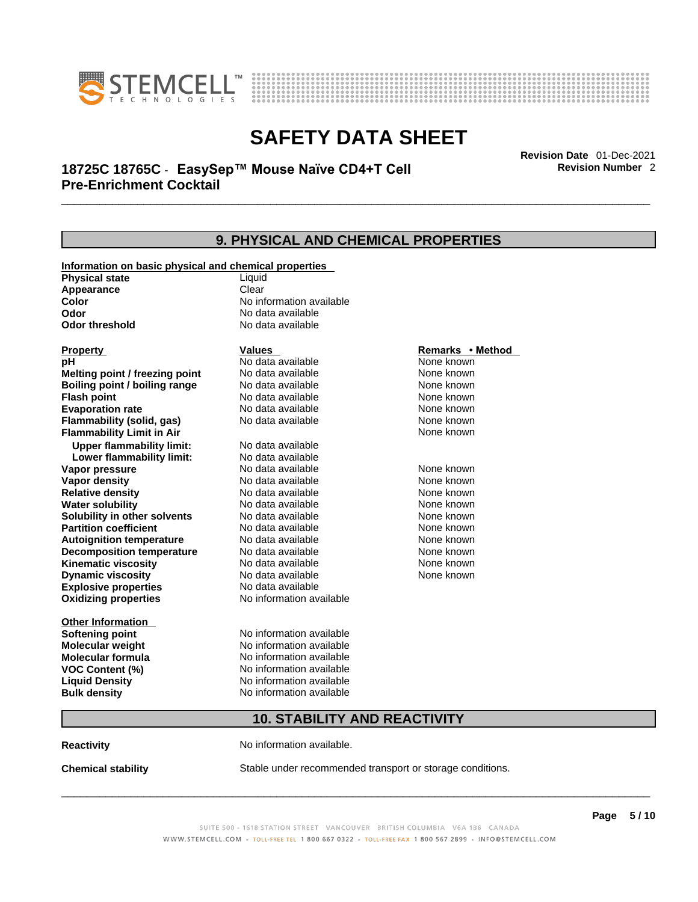



# \_\_\_\_\_\_\_\_\_\_\_\_\_\_\_\_\_\_\_\_\_\_\_\_\_\_\_\_\_\_\_\_\_\_\_\_\_\_\_\_\_\_\_\_\_\_\_\_\_\_\_\_\_\_\_\_\_\_\_\_\_\_\_\_\_\_\_\_\_\_\_\_\_\_\_\_\_\_\_\_\_\_\_\_\_\_\_\_\_\_\_\_\_ **Revision Date** 01-Dec-2021 **18725C 18765C** - **EasySep™ Mouse Naïve CD4+T Cell Pre-Enrichment Cocktail**

**9. PHYSICAL AND CHEMICAL PROPERTIES Information on basic physical and chemical properties Physical state** Liquid **Appearance** Clear<br> **Color** No int **Color Color Color Color Color Color Color No** data available **Odor Odor Constanting Codor Constanting Codor Codor Codor Codor Codor Codor Codor Codor Codor Codor Codor Codor Codor Codor Codor Codor Codor Codor Codor Codor Codor Codor Codor No data available Explosive properties** No data available **Oxidizing properties** No information available **Other Information Softening point** No information available **Molecular weight** No information available **Molecular formula** No information available<br>**VOC Content (%)** No information available **VOC Content (%) Liquid Density** No information available **Bulk density No information available Property CONSCRUTE IN THE VALUES REMARKS • Method pH** No data available None known **Melting point / freezing point Boiling point / boiling range No data available None known Flash point Communist Communist Communist Communist Communist Communist Communist Communist Communist Communist Communist Communist Communist Communist Communist Communist Communist Communist Communist Communist Communi Evaporation rate Reserve ACC** No data available **None known** None known **Flammability (solid, gas)** No data available None known **Flammability Limit in Air** None known **Upper flammability limit:** No data available **Lower flammability limit:** No data available **Vapor pressure No data available None known Vapor density No data available None known Relative density No data available None known** None known **Water solubility No data available** Mome known<br> **Solubility in other solvents** No data available **None known**<br>
None known **Solubility in other solvents** No data available **None known**<br> **Partition coefficient** No data available None known **Partition coefficient**<br> **Autoignition temperature**<br>
No data available **Autoignition temperature** No data available **None known**<br> **Decomposition temperature** No data available None known **Decomposition temperature** No data available None known<br> **Kinematic viscosity** No data available None known **Kinematic viscosity No data available None known**<br> **None known**<br>
No data available **None known**<br>
None known **Dynamic** viscosity None known

# **10. STABILITY AND REACTIVITY**

**Reactivity No information available.** 

**Chemical stability** Stable under recommended transport or storage conditions.

 $\_$  ,  $\_$  ,  $\_$  ,  $\_$  ,  $\_$  ,  $\_$  ,  $\_$  ,  $\_$  ,  $\_$  ,  $\_$  ,  $\_$  ,  $\_$  ,  $\_$  ,  $\_$  ,  $\_$  ,  $\_$  ,  $\_$  ,  $\_$  ,  $\_$  ,  $\_$  ,  $\_$  ,  $\_$  ,  $\_$  ,  $\_$  ,  $\_$  ,  $\_$  ,  $\_$  ,  $\_$  ,  $\_$  ,  $\_$  ,  $\_$  ,  $\_$  ,  $\_$  ,  $\_$  ,  $\_$  ,  $\_$  ,  $\_$  ,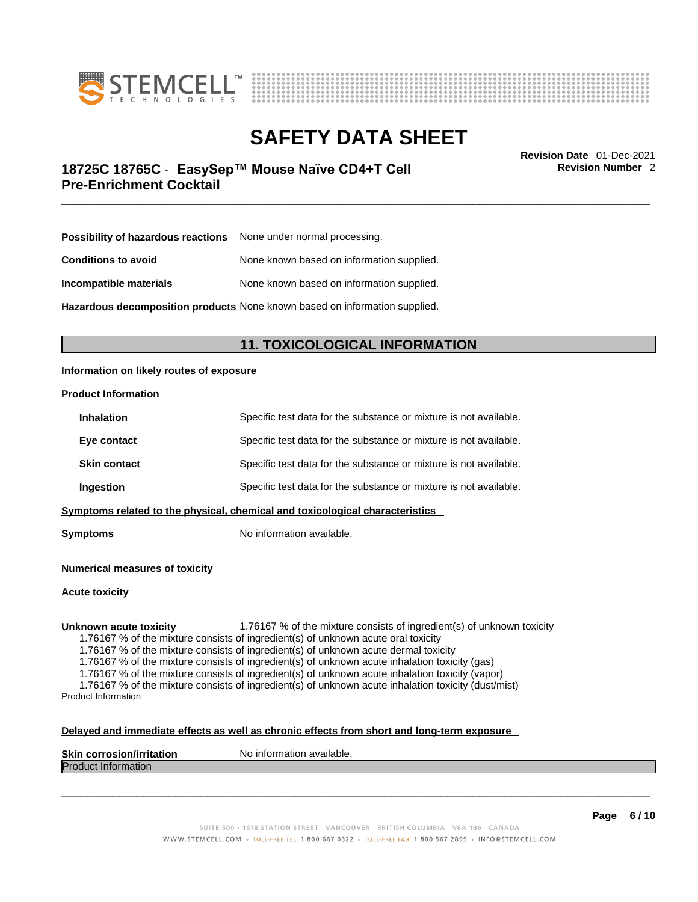



\_\_\_\_\_\_\_\_\_\_\_\_\_\_\_\_\_\_\_\_\_\_\_\_\_\_\_\_\_\_\_\_\_\_\_\_\_\_\_\_\_\_\_\_\_\_\_\_\_\_\_\_\_\_\_\_\_\_\_\_\_\_\_\_\_\_\_\_\_\_\_\_\_\_\_\_\_\_\_\_\_\_\_\_\_\_\_\_\_\_\_\_\_ **Revision Date** 01-Dec-2021 **18725C 18765C** - **EasySep™ Mouse Naïve CD4+T Cell Pre-Enrichment Cocktail** 

**Revision Number** 2

| Possibility of hazardous reactions | None under normal processing.             |
|------------------------------------|-------------------------------------------|
| <b>Conditions to avoid</b>         | None known based on information supplied. |
| Incompatible materials             | None known based on information supplied. |

**Hazardous decomposition products** None known based on information supplied.

# **11. TOXICOLOGICAL INFORMATION**

### **Information on likely routes of exposure**

#### **Product Information**

| <b>Inhalation</b>   | Specific test data for the substance or mixture is not available.            |
|---------------------|------------------------------------------------------------------------------|
| Eye contact         | Specific test data for the substance or mixture is not available.            |
| <b>Skin contact</b> | Specific test data for the substance or mixture is not available.            |
| <b>Ingestion</b>    | Specific test data for the substance or mixture is not available.            |
|                     | Symptoms related to the physical, chemical and toxicological characteristics |

**Symptoms** No information available.

**Numerical measures of toxicity**

**Acute toxicity**

**Unknown acute toxicity** 1.76167 % of the mixture consists of ingredient(s) of unknown toxicity

1.76167 % of the mixture consists of ingredient(s) of unknown acute oral toxicity

1.76167 % of the mixture consists of ingredient(s) of unknown acute dermal toxicity

1.76167 % of the mixture consists of ingredient(s) of unknown acute inhalation toxicity (gas)

1.76167 % of the mixture consists of ingredient(s) of unknown acute inhalation toxicity (vapor)

1.76167 % of the mixture consists of ingredient(s) of unknown acute inhalation toxicity (dust/mist) Product Information

#### **Delayed and immediate effects as well as chronic effects from short and long-term exposure**

| <b>Skin</b><br>. . <i>.</i> .<br>.<br>COL.<br>TOSIOL<br>וומר<br>иноп | `available.<br>N0<br>-inforr<br>папоп |
|----------------------------------------------------------------------|---------------------------------------|
| Drod<br>nation<br>ш                                                  |                                       |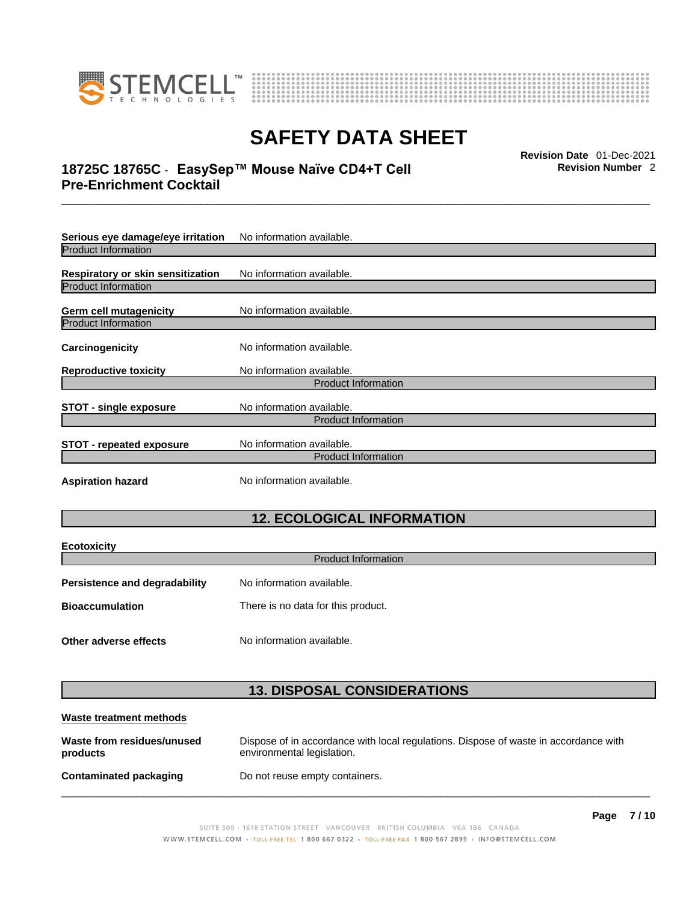



# \_\_\_\_\_\_\_\_\_\_\_\_\_\_\_\_\_\_\_\_\_\_\_\_\_\_\_\_\_\_\_\_\_\_\_\_\_\_\_\_\_\_\_\_\_\_\_\_\_\_\_\_\_\_\_\_\_\_\_\_\_\_\_\_\_\_\_\_\_\_\_\_\_\_\_\_\_\_\_\_\_\_\_\_\_\_\_\_\_\_\_\_\_ **Revision Date** 01-Dec-2021 **18725C 18765C** - **EasySep™ Mouse Naïve CD4+T Cell Pre-Enrichment Cocktail**

**Serious eye damage/eye irritation** No information available. Product Information **Respiratory or skin sensitization** No information available. Product Information **Germ cell mutagenicity** No information available. Product Information **Carcinogenicity** No information available. **Reproductive toxicity** No information available. Product Information **STOT** - single exposure<br>
No information available. Product Information **STOT** - **repeated exposure** No information available. Product Information **Aspiration hazard** No information available.

# **12. ECOLOGICAL INFORMATION**

| <b>Ecotoxicity</b>                                           |                            |  |
|--------------------------------------------------------------|----------------------------|--|
|                                                              | <b>Product Information</b> |  |
| Persistence and degradability                                | No information available.  |  |
| <b>Bioaccumulation</b><br>There is no data for this product. |                            |  |
|                                                              |                            |  |
| Other adverse effects                                        | No information available.  |  |

# **13. DISPOSAL CONSIDERATIONS**

| Waste treatment methods                |                                                                                                                    |
|----------------------------------------|--------------------------------------------------------------------------------------------------------------------|
| Waste from residues/unused<br>products | Dispose of in accordance with local regulations. Dispose of waste in accordance with<br>environmental legislation. |
| Contaminated packaging                 | Do not reuse empty containers.                                                                                     |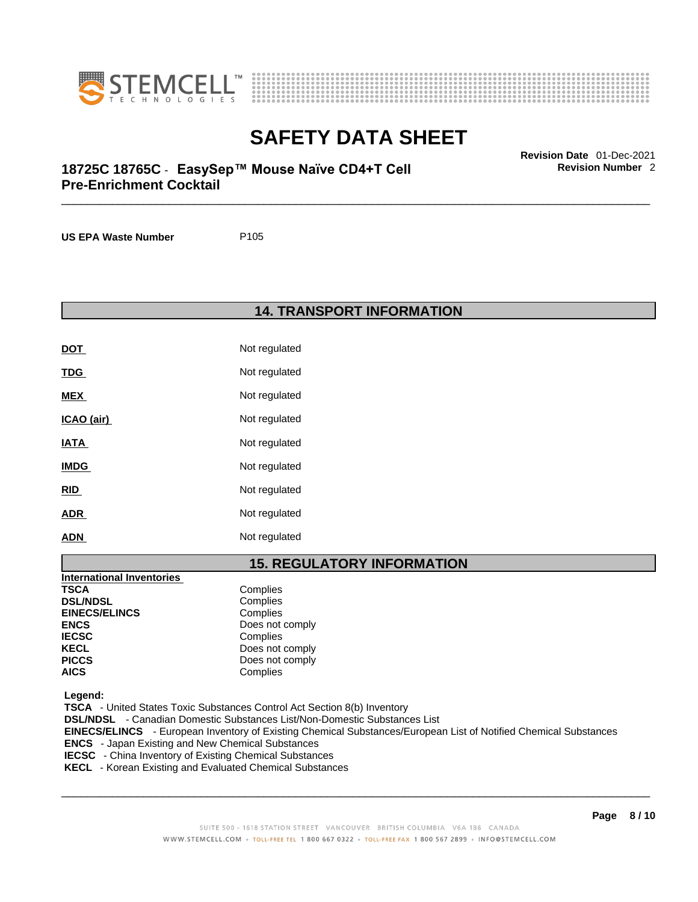



# \_\_\_\_\_\_\_\_\_\_\_\_\_\_\_\_\_\_\_\_\_\_\_\_\_\_\_\_\_\_\_\_\_\_\_\_\_\_\_\_\_\_\_\_\_\_\_\_\_\_\_\_\_\_\_\_\_\_\_\_\_\_\_\_\_\_\_\_\_\_\_\_\_\_\_\_\_\_\_\_\_\_\_\_\_\_\_\_\_\_\_\_\_ **Revision Date** 01-Dec-2021 **18725C 18765C** - **EasySep™ Mouse Naïve CD4+T Cell Pre-Enrichment Cocktail**

**US EPA Waste Number** P105

**14. TRANSPORT INFORMATION** 

| DOT         | Not regulated |
|-------------|---------------|
| <u>TDG</u>  | Not regulated |
| MEX         | Not regulated |
| ICAO (air)  | Not regulated |
| <u>IATA</u> | Not regulated |
| <b>IMDG</b> | Not regulated |
| <u>RID</u>  | Not regulated |
| <b>ADR</b>  | Not regulated |
| <b>ADN</b>  | Not regulated |

# **15. REGULATORY INFORMATION**

| International Inventories |                 |
|---------------------------|-----------------|
| <b>TSCA</b>               | Complies        |
| <b>DSL/NDSL</b>           | Complies        |
| <b>EINECS/ELINCS</b>      | Complies        |
| <b>ENCS</b>               | Does not comply |
| <b>IECSC</b>              | Complies        |
| <b>KECL</b>               | Does not comply |
| <b>PICCS</b>              | Does not comply |
| <b>AICS</b>               | Complies        |

 **Legend:** 

 **TSCA** - United States Toxic Substances Control Act Section 8(b) Inventory  **DSL/NDSL** - Canadian Domestic Substances List/Non-Domestic Substances List  **EINECS/ELINCS** - European Inventory of Existing Chemical Substances/European List of Notified Chemical Substances  **ENCS** - Japan Existing and New Chemical Substances  **IECSC** - China Inventory of Existing Chemical Substances

 **KECL** - Korean Existing and Evaluated Chemical Substances

 $\_$  ,  $\_$  ,  $\_$  ,  $\_$  ,  $\_$  ,  $\_$  ,  $\_$  ,  $\_$  ,  $\_$  ,  $\_$  ,  $\_$  ,  $\_$  ,  $\_$  ,  $\_$  ,  $\_$  ,  $\_$  ,  $\_$  ,  $\_$  ,  $\_$  ,  $\_$  ,  $\_$  ,  $\_$  ,  $\_$  ,  $\_$  ,  $\_$  ,  $\_$  ,  $\_$  ,  $\_$  ,  $\_$  ,  $\_$  ,  $\_$  ,  $\_$  ,  $\_$  ,  $\_$  ,  $\_$  ,  $\_$  ,  $\_$  ,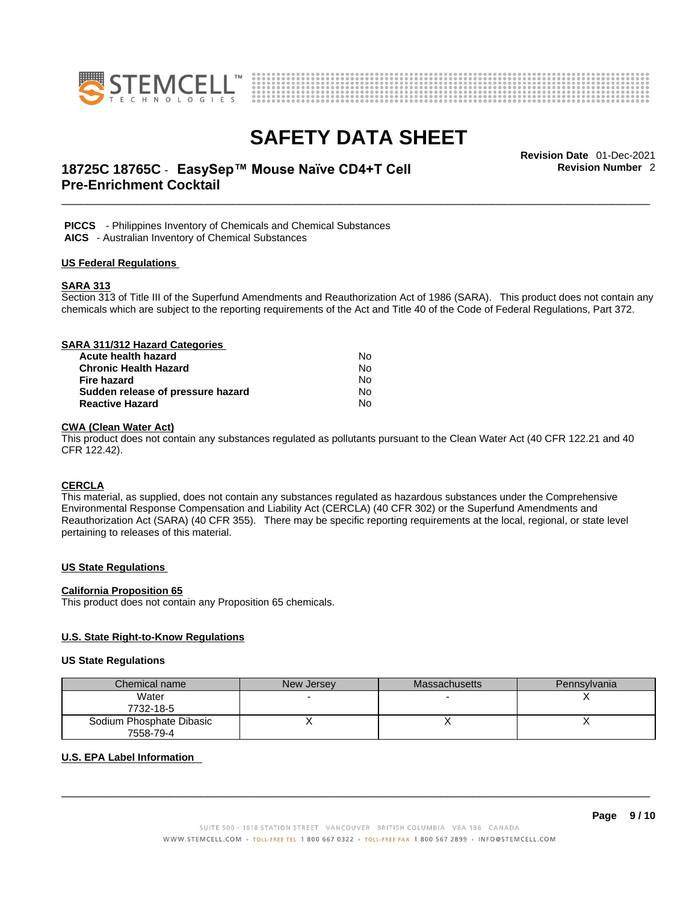



# \_\_\_\_\_\_\_\_\_\_\_\_\_\_\_\_\_\_\_\_\_\_\_\_\_\_\_\_\_\_\_\_\_\_\_\_\_\_\_\_\_\_\_\_\_\_\_\_\_\_\_\_\_\_\_\_\_\_\_\_\_\_\_\_\_\_\_\_\_\_\_\_\_\_\_\_\_\_\_\_\_\_\_\_\_\_\_\_\_\_\_\_\_ **Revision Date** 01-Dec-2021 **18725C 18765C** - **EasySep™ Mouse Naïve CD4+T Cell Pre-Enrichment Cocktail**

**Revision Number** 2

 **PICCS** - Philippines Inventory of Chemicals and Chemical Substances  **AICS** - Australian Inventory of Chemical Substances

#### **US Federal Regulations**

#### **SARA 313**

Section 313 of Title III of the Superfund Amendments and Reauthorization Act of 1986 (SARA). This product does not contain any chemicals which are subject to the reporting requirements of the Act and Title 40 of the Code of Federal Regulations, Part 372.

| SARA 311/312 Hazard Categories    |    |  |
|-----------------------------------|----|--|
| Acute health hazard               | No |  |
| <b>Chronic Health Hazard</b>      | No |  |
| Fire hazard                       | No |  |
| Sudden release of pressure hazard | No |  |
| <b>Reactive Hazard</b>            | No |  |

### **CWA (Clean WaterAct)**

This product does not contain any substances regulated as pollutants pursuant to the Clean Water Act (40 CFR 122.21 and 40 CFR 122.42).

### **CERCLA**

This material, as supplied, does not contain any substances regulated as hazardous substances under the Comprehensive Environmental Response Compensation and Liability Act (CERCLA) (40 CFR 302) or the Superfund Amendments and Reauthorization Act (SARA) (40 CFR 355). There may be specific reporting requirements at the local, regional, or state level pertaining to releases of this material.

### **US State Regulations**

#### **California Proposition 65**

This product does not contain any Proposition 65 chemicals.

### **U.S. State Right-to-Know Regulations**

#### **US State Regulations**

| Chemical name            | New Jersey | <b>Massachusetts</b> | Pennsylvania |
|--------------------------|------------|----------------------|--------------|
| Water                    |            |                      |              |
| 7732-18-5                |            |                      |              |
| Sodium Phosphate Dibasic |            |                      |              |
| 7558-79-4                |            |                      |              |

### **U.S. EPA Label Information**